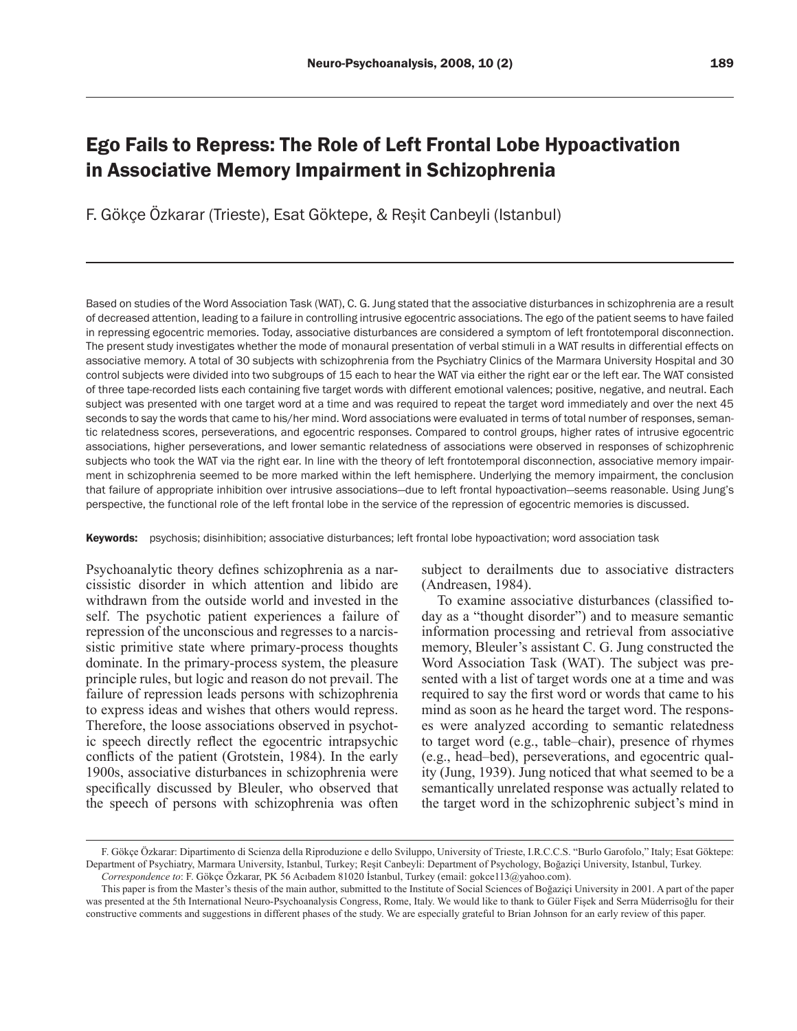# Ego Fails to Repress: The Role of Left Frontal Lobe Hypoactivation in Associative Memory Impairment in Schizophrenia

F. Gökçe Özkarar (Trieste), Esat Göktepe, & Reşit Canbeyli (Istanbul)

Based on studies of the Word Association Task (WAT), C. G. Jung stated that the associative disturbances in schizophrenia are a result of decreased attention, leading to a failure in controlling intrusive egocentric associations. The ego of the patient seems to have failed in repressing egocentric memories. Today, associative disturbances are considered a symptom of left frontotemporal disconnection. The present study investigates whether the mode of monaural presentation of verbal stimuli in a WAT results in differential effects on associative memory. A total of 30 subjects with schizophrenia from the Psychiatry Clinics of the Marmara University Hospital and 30 control subjects were divided into two subgroups of 15 each to hear the WAT via either the right ear or the left ear. The WAT consisted of three tape-recorded lists each containing five target words with different emotional valences; positive, negative, and neutral. Each subject was presented with one target word at a time and was required to repeat the target word immediately and over the next 45 seconds to say the words that came to his/her mind. Word associations were evaluated in terms of total number of responses, semantic relatedness scores, perseverations, and egocentric responses. Compared to control groups, higher rates of intrusive egocentric associations, higher perseverations, and lower semantic relatedness of associations were observed in responses of schizophrenic subjects who took the WAT via the right ear. In line with the theory of left frontotemporal disconnection, associative memory impairment in schizophrenia seemed to be more marked within the left hemisphere. Underlying the memory impairment, the conclusion that failure of appropriate inhibition over intrusive associations—due to left frontal hypoactivation—seems reasonable. Using Jung's perspective, the functional role of the left frontal lobe in the service of the repression of egocentric memories is discussed.

Keywords: psychosis; disinhibition; associative disturbances; left frontal lobe hypoactivation; word association task

Psychoanalytic theory defines schizophrenia as a narcissistic disorder in which attention and libido are withdrawn from the outside world and invested in the self. The psychotic patient experiences a failure of repression of the unconscious and regresses to a narcissistic primitive state where primary-process thoughts dominate. In the primary-process system, the pleasure principle rules, but logic and reason do not prevail. The failure of repression leads persons with schizophrenia to express ideas and wishes that others would repress. Therefore, the loose associations observed in psychotic speech directly reflect the egocentric intrapsychic conflicts of the patient (Grotstein, 1984). In the early 1900s, associative disturbances in schizophrenia were specifically discussed by Bleuler, who observed that the speech of persons with schizophrenia was often

subject to derailments due to associative distracters (Andreasen, 1984).

To examine associative disturbances (classified today as a "thought disorder") and to measure semantic information processing and retrieval from associative memory, Bleuler's assistant C. G. Jung constructed the Word Association Task (WAT). The subject was presented with a list of target words one at a time and was required to say the first word or words that came to his mind as soon as he heard the target word. The responses were analyzed according to semantic relatedness to target word (e.g., table–chair), presence of rhymes (e.g., head–bed), perseverations, and egocentric quality (Jung, 1939). Jung noticed that what seemed to be a semantically unrelated response was actually related to the target word in the schizophrenic subject's mind in

F. Gökçe Özkarar: Dipartimento di Scienza della Riproduzione e dello Sviluppo, University of Trieste, I.R.C.C.S. "Burlo Garofolo," Italy; Esat Göktepe: Department of Psychiatry, Marmara University, Istanbul, Turkey; Reşit Canbeyli: Department of Psychology, Boğaziçi University, Istanbul, Turkey. *Correspondence to*: F. Gökçe Özkarar, PK 56 Acıbadem 81020 İstanbul, Turkey (email: gokce113@yahoo.com).

This paper is from the Master's thesis of the main author, submitted to the Institute of Social Sciences of Boğaziçi University in 2001. A part of the paper was presented at the 5th International Neuro-Psychoanalysis Congress, Rome, Italy. We would like to thank to Güler Fişek and Serra Müderrisoğlu for their constructive comments and suggestions in different phases of the study. We are especially grateful to Brian Johnson for an early review of this paper.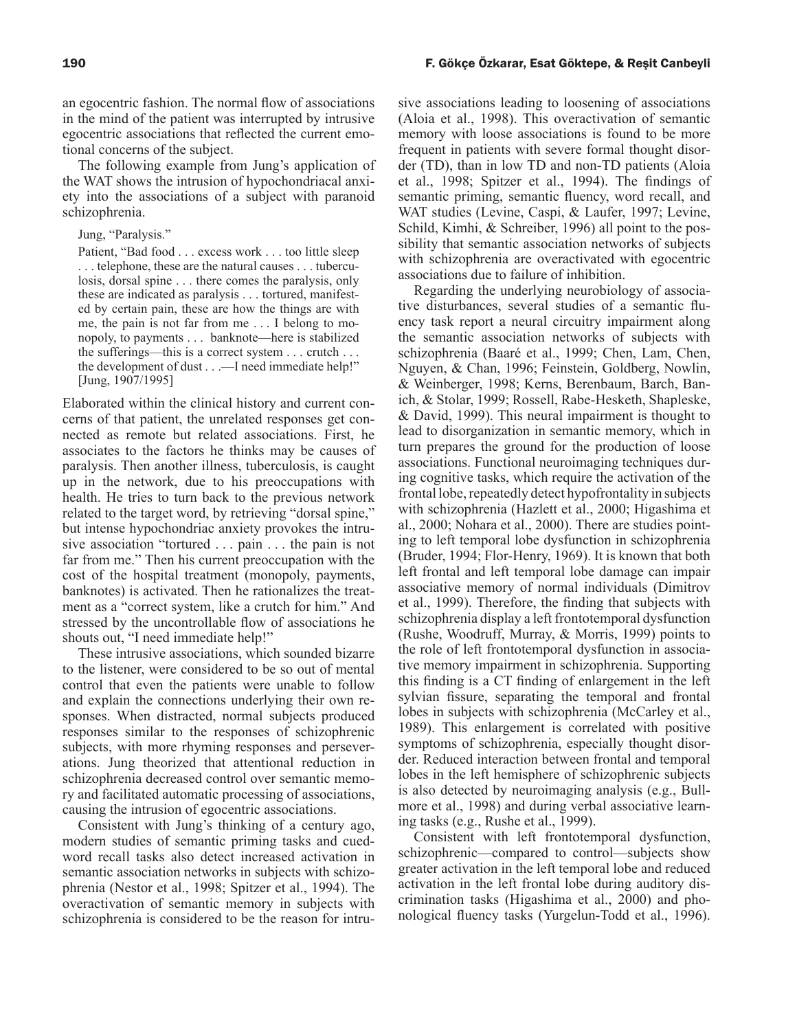an egocentric fashion. The normal flow of associations in the mind of the patient was interrupted by intrusive egocentric associations that reflected the current emotional concerns of the subject.

The following example from Jung's application of the WAT shows the intrusion of hypochondriacal anxiety into the associations of a subject with paranoid schizophrenia.

Jung, "Paralysis."

Patient, "Bad food . . . excess work . . . too little sleep . . . telephone, these are the natural causes . . . tuberculosis, dorsal spine . . . there comes the paralysis, only these are indicated as paralysis . . . tortured, manifested by certain pain, these are how the things are with me, the pain is not far from me . . . I belong to monopoly, to payments . . . banknote—here is stabilized the sufferings—this is a correct system . . . crutch . . . the development of dust . . .—I need immediate help!" [Jung, 1907/1995]

Elaborated within the clinical history and current concerns of that patient, the unrelated responses get connected as remote but related associations. First, he associates to the factors he thinks may be causes of paralysis. Then another illness, tuberculosis, is caught up in the network, due to his preoccupations with health. He tries to turn back to the previous network related to the target word, by retrieving "dorsal spine," but intense hypochondriac anxiety provokes the intrusive association "tortured . . . pain . . . the pain is not far from me." Then his current preoccupation with the cost of the hospital treatment (monopoly, payments, banknotes) is activated. Then he rationalizes the treatment as a "correct system, like a crutch for him." And stressed by the uncontrollable flow of associations he shouts out, "I need immediate help!"

These intrusive associations, which sounded bizarre to the listener, were considered to be so out of mental control that even the patients were unable to follow and explain the connections underlying their own responses. When distracted, normal subjects produced responses similar to the responses of schizophrenic subjects, with more rhyming responses and perseverations. Jung theorized that attentional reduction in schizophrenia decreased control over semantic memory and facilitated automatic processing of associations, causing the intrusion of egocentric associations.

Consistent with Jung's thinking of a century ago, modern studies of semantic priming tasks and cuedword recall tasks also detect increased activation in semantic association networks in subjects with schizophrenia (Nestor et al., 1998; Spitzer et al., 1994). The overactivation of semantic memory in subjects with schizophrenia is considered to be the reason for intrusive associations leading to loosening of associations (Aloia et al., 1998). This overactivation of semantic memory with loose associations is found to be more frequent in patients with severe formal thought disorder (TD), than in low TD and non-TD patients (Aloia et al., 1998; Spitzer et al., 1994). The findings of semantic priming, semantic fluency, word recall, and WAT studies (Levine, Caspi, & Laufer, 1997; Levine, Schild, Kimhi, & Schreiber, 1996) all point to the possibility that semantic association networks of subjects with schizophrenia are overactivated with egocentric associations due to failure of inhibition.

Regarding the underlying neurobiology of associative disturbances, several studies of a semantic fluency task report a neural circuitry impairment along the semantic association networks of subjects with schizophrenia (Baaré et al., 1999; Chen, Lam, Chen, Nguyen, & Chan, 1996; Feinstein, Goldberg, Nowlin, & Weinberger, 1998; Kerns, Berenbaum, Barch, Banich, & Stolar, 1999; Rossell, Rabe-Hesketh, Shapleske, & David, 1999). This neural impairment is thought to lead to disorganization in semantic memory, which in turn prepares the ground for the production of loose associations. Functional neuroimaging techniques during cognitive tasks, which require the activation of the frontal lobe, repeatedly detect hypofrontality in subjects with schizophrenia (Hazlett et al., 2000; Higashima et al., 2000; Nohara et al., 2000). There are studies pointing to left temporal lobe dysfunction in schizophrenia (Bruder, 1994; Flor-Henry, 1969). It is known that both left frontal and left temporal lobe damage can impair associative memory of normal individuals (Dimitrov et al., 1999). Therefore, the finding that subjects with schizophrenia display a left frontotemporal dysfunction (Rushe, Woodruff, Murray, & Morris, 1999) points to the role of left frontotemporal dysfunction in associative memory impairment in schizophrenia. Supporting this finding is a CT finding of enlargement in the left sylvian fissure, separating the temporal and frontal lobes in subjects with schizophrenia (McCarley et al., 1989). This enlargement is correlated with positive symptoms of schizophrenia, especially thought disorder. Reduced interaction between frontal and temporal lobes in the left hemisphere of schizophrenic subjects is also detected by neuroimaging analysis (e.g., Bullmore et al., 1998) and during verbal associative learning tasks (e.g., Rushe et al., 1999).

Consistent with left frontotemporal dysfunction, schizophrenic—compared to control—subjects show greater activation in the left temporal lobe and reduced activation in the left frontal lobe during auditory discrimination tasks (Higashima et al., 2000) and phonological fluency tasks (Yurgelun-Todd et al., 1996).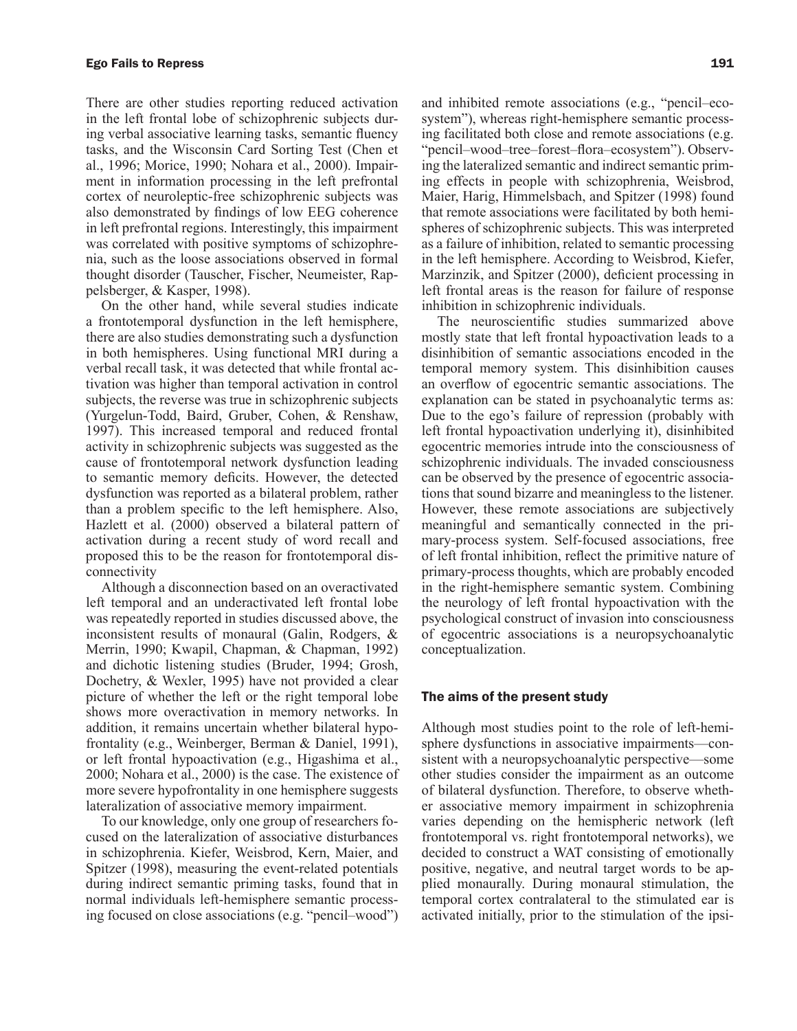There are other studies reporting reduced activation in the left frontal lobe of schizophrenic subjects during verbal associative learning tasks, semantic fluency tasks, and the Wisconsin Card Sorting Test (Chen et al., 1996; Morice, 1990; Nohara et al., 2000). Impairment in information processing in the left prefrontal cortex of neuroleptic-free schizophrenic subjects was also demonstrated by findings of low EEG coherence in left prefrontal regions. Interestingly, this impairment was correlated with positive symptoms of schizophrenia, such as the loose associations observed in formal thought disorder (Tauscher, Fischer, Neumeister, Rappelsberger, & Kasper, 1998).

On the other hand, while several studies indicate a frontotemporal dysfunction in the left hemisphere, there are also studies demonstrating such a dysfunction in both hemispheres. Using functional MRI during a verbal recall task, it was detected that while frontal activation was higher than temporal activation in control subjects, the reverse was true in schizophrenic subjects (Yurgelun-Todd, Baird, Gruber, Cohen, & Renshaw, 1997). This increased temporal and reduced frontal activity in schizophrenic subjects was suggested as the cause of frontotemporal network dysfunction leading to semantic memory deficits. However, the detected dysfunction was reported as a bilateral problem, rather than a problem specific to the left hemisphere. Also, Hazlett et al. (2000) observed a bilateral pattern of activation during a recent study of word recall and proposed this to be the reason for frontotemporal disconnectivity

Although a disconnection based on an overactivated left temporal and an underactivated left frontal lobe was repeatedly reported in studies discussed above, the inconsistent results of monaural (Galin, Rodgers, & Merrin, 1990; Kwapil, Chapman, & Chapman, 1992) and dichotic listening studies (Bruder, 1994; Grosh, Dochetry, & Wexler, 1995) have not provided a clear picture of whether the left or the right temporal lobe shows more overactivation in memory networks. In addition, it remains uncertain whether bilateral hypofrontality (e.g., Weinberger, Berman & Daniel, 1991), or left frontal hypoactivation (e.g., Higashima et al., 2000; Nohara et al., 2000) is the case. The existence of more severe hypofrontality in one hemisphere suggests lateralization of associative memory impairment.

To our knowledge, only one group of researchers focused on the lateralization of associative disturbances in schizophrenia. Kiefer, Weisbrod, Kern, Maier, and Spitzer (1998), measuring the event-related potentials during indirect semantic priming tasks, found that in normal individuals left-hemisphere semantic processing focused on close associations (e.g. "pencil–wood") and inhibited remote associations (e.g., "pencil–ecosystem"), whereas right-hemisphere semantic processing facilitated both close and remote associations (e.g. "pencil–wood–tree–forest–flora–ecosystem"). Observing the lateralized semantic and indirect semantic priming effects in people with schizophrenia, Weisbrod, Maier, Harig, Himmelsbach, and Spitzer (1998) found that remote associations were facilitated by both hemispheres of schizophrenic subjects. This was interpreted as a failure of inhibition, related to semantic processing in the left hemisphere. According to Weisbrod, Kiefer, Marzinzik, and Spitzer (2000), deficient processing in left frontal areas is the reason for failure of response inhibition in schizophrenic individuals.

The neuroscientific studies summarized above mostly state that left frontal hypoactivation leads to a disinhibition of semantic associations encoded in the temporal memory system. This disinhibition causes an overflow of egocentric semantic associations. The explanation can be stated in psychoanalytic terms as: Due to the ego's failure of repression (probably with left frontal hypoactivation underlying it), disinhibited egocentric memories intrude into the consciousness of schizophrenic individuals. The invaded consciousness can be observed by the presence of egocentric associations that sound bizarre and meaningless to the listener. However, these remote associations are subjectively meaningful and semantically connected in the primary-process system. Self-focused associations, free of left frontal inhibition, reflect the primitive nature of primary-process thoughts, which are probably encoded in the right-hemisphere semantic system. Combining the neurology of left frontal hypoactivation with the psychological construct of invasion into consciousness of egocentric associations is a neuropsychoanalytic conceptualization.

## The aims of the present study

Although most studies point to the role of left-hemisphere dysfunctions in associative impairments—consistent with a neuropsychoanalytic perspective—some other studies consider the impairment as an outcome of bilateral dysfunction. Therefore, to observe whether associative memory impairment in schizophrenia varies depending on the hemispheric network (left frontotemporal vs. right frontotemporal networks), we decided to construct a WAT consisting of emotionally positive, negative, and neutral target words to be applied monaurally. During monaural stimulation, the temporal cortex contralateral to the stimulated ear is activated initially, prior to the stimulation of the ipsi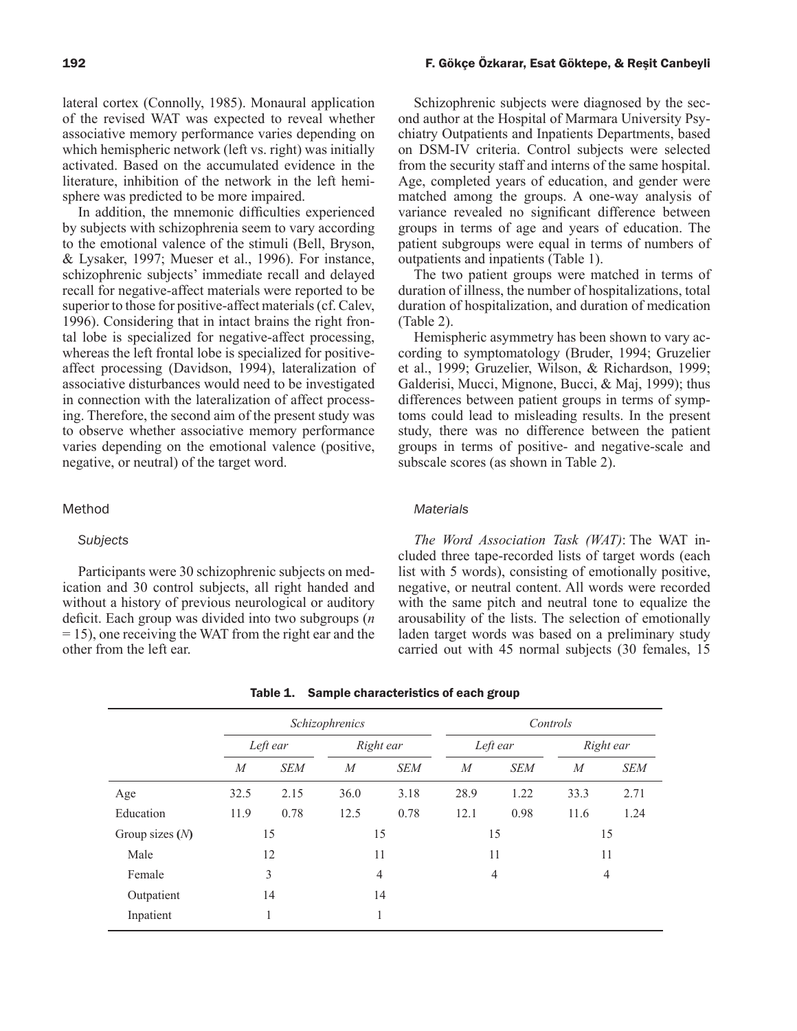lateral cortex (Connolly, 1985). Monaural application of the revised WAT was expected to reveal whether associative memory performance varies depending on which hemispheric network (left vs. right) was initially activated. Based on the accumulated evidence in the literature, inhibition of the network in the left hemisphere was predicted to be more impaired.

In addition, the mnemonic difficulties experienced by subjects with schizophrenia seem to vary according to the emotional valence of the stimuli (Bell, Bryson, & Lysaker, 1997; Mueser et al., 1996). For instance, schizophrenic subjects' immediate recall and delayed recall for negative-affect materials were reported to be superior to those for positive-affect materials (cf. Calev, 1996). Considering that in intact brains the right frontal lobe is specialized for negative-affect processing, whereas the left frontal lobe is specialized for positiveaffect processing (Davidson, 1994), lateralization of associative disturbances would need to be investigated in connection with the lateralization of affect processing. Therefore, the second aim of the present study was to observe whether associative memory performance varies depending on the emotional valence (positive, negative, or neutral) of the target word.

## Method

#### *Subjects*

Participants were 30 schizophrenic subjects on medication and 30 control subjects, all right handed and without a history of previous neurological or auditory deficit. Each group was divided into two subgroups (*n* = 15), one receiving the WAT from the right ear and the other from the left ear.

Schizophrenic subjects were diagnosed by the second author at the Hospital of Marmara University Psychiatry Outpatients and Inpatients Departments, based on DSM-IV criteria. Control subjects were selected from the security staff and interns of the same hospital. Age, completed years of education, and gender were matched among the groups. A one-way analysis of variance revealed no significant difference between groups in terms of age and years of education. The patient subgroups were equal in terms of numbers of outpatients and inpatients (Table 1).

The two patient groups were matched in terms of duration of illness, the number of hospitalizations, total duration of hospitalization, and duration of medication (Table 2).

Hemispheric asymmetry has been shown to vary according to symptomatology (Bruder, 1994; Gruzelier et al., 1999; Gruzelier, Wilson, & Richardson, 1999; Galderisi, Mucci, Mignone, Bucci, & Maj, 1999); thus differences between patient groups in terms of symptoms could lead to misleading results. In the present study, there was no difference between the patient groups in terms of positive- and negative-scale and subscale scores (as shown in Table 2).

## *Materials*

*The Word Association Task (WAT)*: The WAT included three tape-recorded lists of target words (each list with 5 words), consisting of emotionally positive, negative, or neutral content. All words were recorded with the same pitch and neutral tone to equalize the arousability of the lists. The selection of emotionally laden target words was based on a preliminary study carried out with 45 normal subjects (30 females, 15

|                   | Schizophrenics |            |                |            | Controls       |            |                |            |
|-------------------|----------------|------------|----------------|------------|----------------|------------|----------------|------------|
|                   | Left ear       |            | Right ear      |            | Left ear       |            | Right ear      |            |
|                   | M              | <b>SEM</b> | $\overline{M}$ | <b>SEM</b> | $\overline{M}$ | <b>SEM</b> | $\overline{M}$ | <b>SEM</b> |
| Age               | 32.5           | 2.15       | 36.0           | 3.18       | 28.9           | 1.22       | 33.3           | 2.71       |
| Education         | 11.9           | 0.78       | 12.5           | 0.78       | 12.1           | 0.98       | 11.6           | 1.24       |
| Group sizes $(N)$ | 15             |            | 15             |            | 15             |            | 15             |            |
| Male              | 12             |            | 11             |            | 11             |            | 11             |            |
| Female            | 3              |            | $\overline{4}$ |            | 4              |            | $\overline{4}$ |            |
| Outpatient        | 14             |            | 14             |            |                |            |                |            |
| Inpatient         |                |            | 1              |            |                |            |                |            |

Table 1. Sample characteristics of each group

## 192 F. Gökçe Özkarar, Esat Göktepe, & Reşit Canbeyli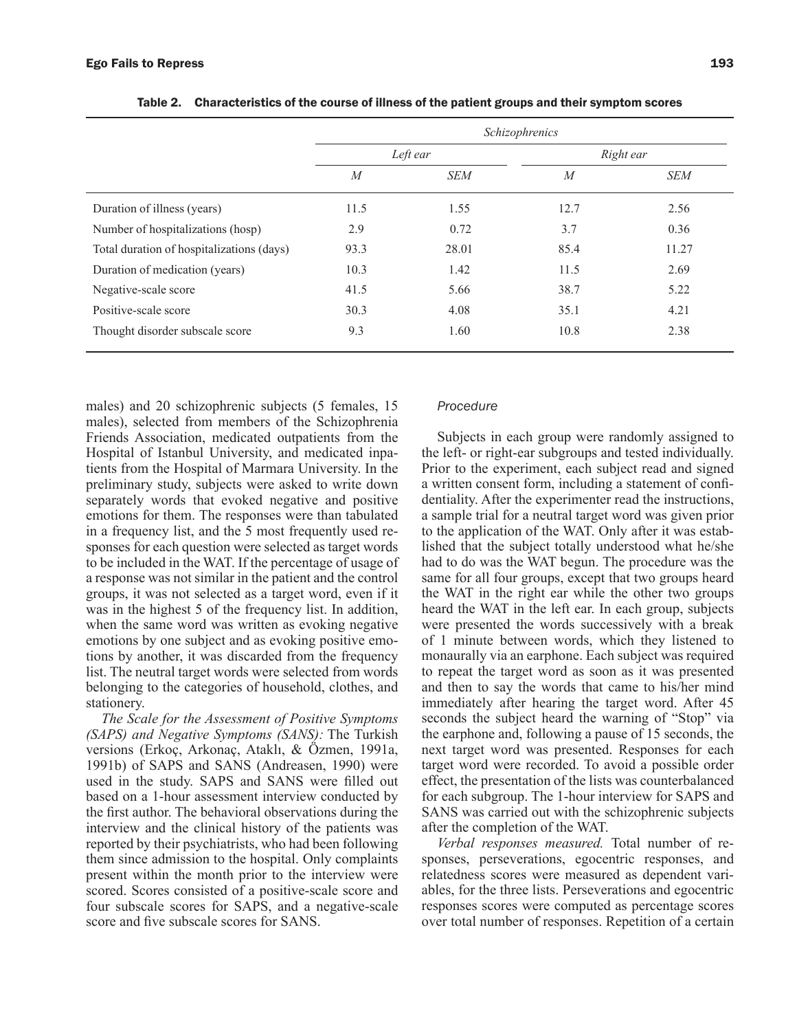|                                           | Schizophrenics |            |                |            |  |  |  |
|-------------------------------------------|----------------|------------|----------------|------------|--|--|--|
|                                           | Left ear       |            |                | Right ear  |  |  |  |
|                                           | M              | <b>SEM</b> | $\overline{M}$ | <b>SEM</b> |  |  |  |
| Duration of illness (years)               | 11.5           | 1.55       | 12.7           | 2.56       |  |  |  |
| Number of hospitalizations (hosp)         | 2.9            | 0.72       | 3.7            | 0.36       |  |  |  |
| Total duration of hospitalizations (days) | 93.3           | 28.01      | 85.4           | 11.27      |  |  |  |
| Duration of medication (years)            | 10.3           | 1.42       | 11.5           | 2.69       |  |  |  |
| Negative-scale score                      | 41.5           | 5.66       | 38.7           | 5.22       |  |  |  |
| Positive-scale score                      | 30.3           | 4.08       | 35.1           | 4.21       |  |  |  |
| Thought disorder subscale score           | 9.3            | 1.60       | 10.8           | 2.38       |  |  |  |

Table 2. Characteristics of the course of illness of the patient groups and their symptom scores

males) and 20 schizophrenic subjects (5 females, 15 males), selected from members of the Schizophrenia Friends Association, medicated outpatients from the Hospital of Istanbul University, and medicated inpatients from the Hospital of Marmara University. In the preliminary study, subjects were asked to write down separately words that evoked negative and positive emotions for them. The responses were than tabulated in a frequency list, and the 5 most frequently used responses for each question were selected as target words to be included in the WAT. If the percentage of usage of a response was not similar in the patient and the control groups, it was not selected as a target word, even if it was in the highest 5 of the frequency list. In addition, when the same word was written as evoking negative emotions by one subject and as evoking positive emotions by another, it was discarded from the frequency list. The neutral target words were selected from words belonging to the categories of household, clothes, and stationery.

*The Scale for the Assessment of Positive Symptoms (SAPS) and Negative Symptoms (SANS):* The Turkish versions (Erkoç, Arkonaç, Ataklı, & Özmen, 1991a, 1991b) of SAPS and SANS (Andreasen, 1990) were used in the study. SAPS and SANS were filled out based on a 1-hour assessment interview conducted by the first author. The behavioral observations during the interview and the clinical history of the patients was reported by their psychiatrists, who had been following them since admission to the hospital. Only complaints present within the month prior to the interview were scored. Scores consisted of a positive-scale score and four subscale scores for SAPS, and a negative-scale score and five subscale scores for SANS.

## *Procedure*

Subjects in each group were randomly assigned to the left- or right-ear subgroups and tested individually. Prior to the experiment, each subject read and signed a written consent form, including a statement of confidentiality. After the experimenter read the instructions, a sample trial for a neutral target word was given prior to the application of the WAT. Only after it was established that the subject totally understood what he/she had to do was the WAT begun. The procedure was the same for all four groups, except that two groups heard the WAT in the right ear while the other two groups heard the WAT in the left ear. In each group, subjects were presented the words successively with a break of 1 minute between words, which they listened to monaurally via an earphone. Each subject was required to repeat the target word as soon as it was presented and then to say the words that came to his/her mind immediately after hearing the target word. After 45 seconds the subject heard the warning of "Stop" via the earphone and, following a pause of 15 seconds, the next target word was presented. Responses for each target word were recorded. To avoid a possible order effect, the presentation of the lists was counterbalanced for each subgroup. The 1-hour interview for SAPS and SANS was carried out with the schizophrenic subjects after the completion of the WAT.

*Verbal responses measured.* Total number of responses, perseverations, egocentric responses, and relatedness scores were measured as dependent variables, for the three lists. Perseverations and egocentric responses scores were computed as percentage scores over total number of responses. Repetition of a certain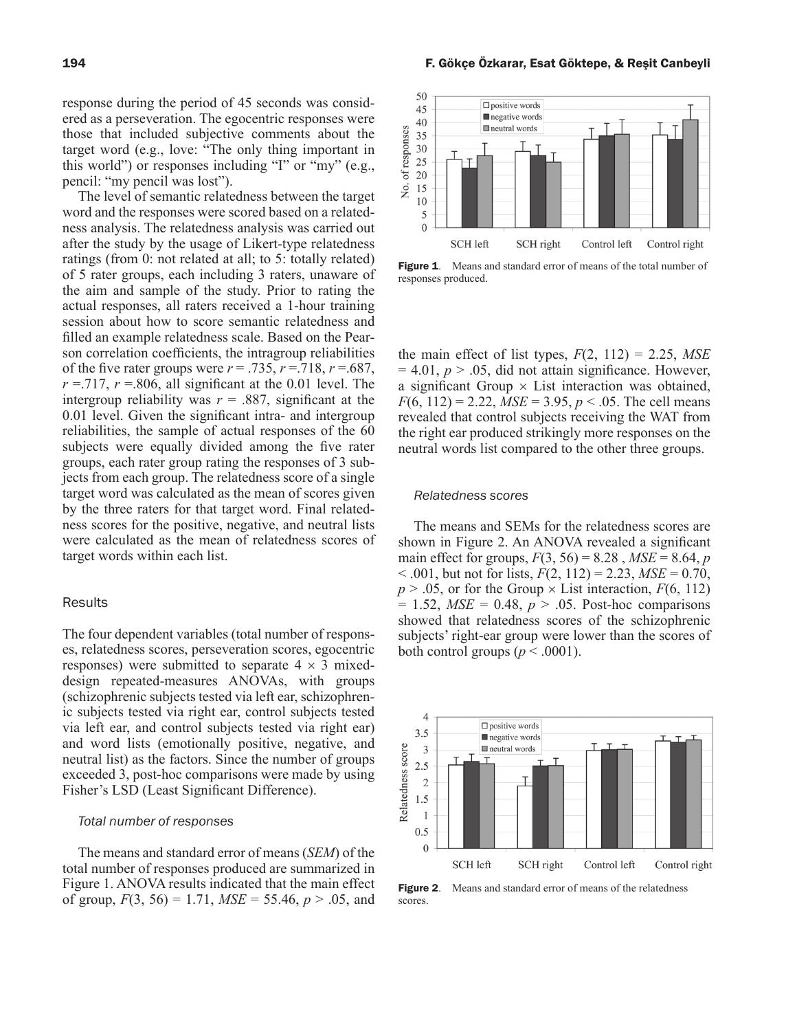response during the period of 45 seconds was considered as a perseveration. The egocentric responses were those that included subjective comments about the target word (e.g., love: "The only thing important in this world") or responses including "I" or "my" (e.g., pencil: "my pencil was lost").

The level of semantic relatedness between the target word and the responses were scored based on a relatedness analysis. The relatedness analysis was carried out after the study by the usage of Likert-type relatedness ratings (from 0: not related at all; to 5: totally related) of 5 rater groups, each including 3 raters, unaware of the aim and sample of the study. Prior to rating the actual responses, all raters received a 1-hour training session about how to score semantic relatedness and filled an example relatedness scale. Based on the Pearson correlation coefficients, the intragroup reliabilities of the five rater groups were  $r = .735$ ,  $r = .718$ ,  $r = .687$ ,  $r = 717$ ,  $r = 806$ , all significant at the 0.01 level. The intergroup reliability was  $r = .887$ , significant at the 0.01 level. Given the significant intra- and intergroup reliabilities, the sample of actual responses of the 60 subjects were equally divided among the five rater groups, each rater group rating the responses of 3 subjects from each group. The relatedness score of a single target word was calculated as the mean of scores given by the three raters for that target word. Final relatedness scores for the positive, negative, and neutral lists were calculated as the mean of relatedness scores of target words within each list.

# **Results**

The four dependent variables (total number of responses, relatedness scores, perseveration scores, egocentric responses) were submitted to separate  $4 \times 3$  mixeddesign repeated-measures ANOVAs, with groups (schizophrenic subjects tested via left ear, schizophrenic subjects tested via right ear, control subjects tested via left ear, and control subjects tested via right ear) and word lists (emotionally positive, negative, and neutral list) as the factors. Since the number of groups exceeded 3, post-hoc comparisons were made by using Fisher's LSD (Least Significant Difference).

#### *Total number of responses*

The means and standard error of means (*SEM*) of the total number of responses produced are summarized in Figure 1. ANOVA results indicated that the main effect of group,  $F(3, 56) = 1.71$ ,  $MSE = 55.46$ ,  $p > .05$ , and



Figure 1. Means and standard error of means of the total number of responses produced.

the main effect of list types,  $F(2, 112) = 2.25$ , *MSE*  $= 4.01, p > .05$ , did not attain significance. However, a significant Group  $\times$  List interaction was obtained,  $F(6, 112) = 2.22$ ,  $MSE = 3.95$ ,  $p < .05$ . The cell means revealed that control subjects receiving the WAT from the right ear produced strikingly more responses on the neutral words list compared to the other three groups.

#### *Relatedness scores*

The means and SEMs for the relatedness scores are shown in Figure 2. An ANOVA revealed a significant main effect for groups,  $F(3, 56) = 8.28$ ,  $MSE = 8.64$ , *p* < .001, but not for lists, *F*(2, 112) = 2.23, *MSE* = 0.70,  $p > .05$ , or for the Group  $\times$  List interaction,  $F(6, 112)$  $= 1.52$ ,  $MSE = 0.48$ ,  $p > .05$ . Post-hoc comparisons showed that relatedness scores of the schizophrenic subjects' right-ear group were lower than the scores of both control groups ( $p < .0001$ ).



Figure 2. Means and standard error of means of the relatedness scores.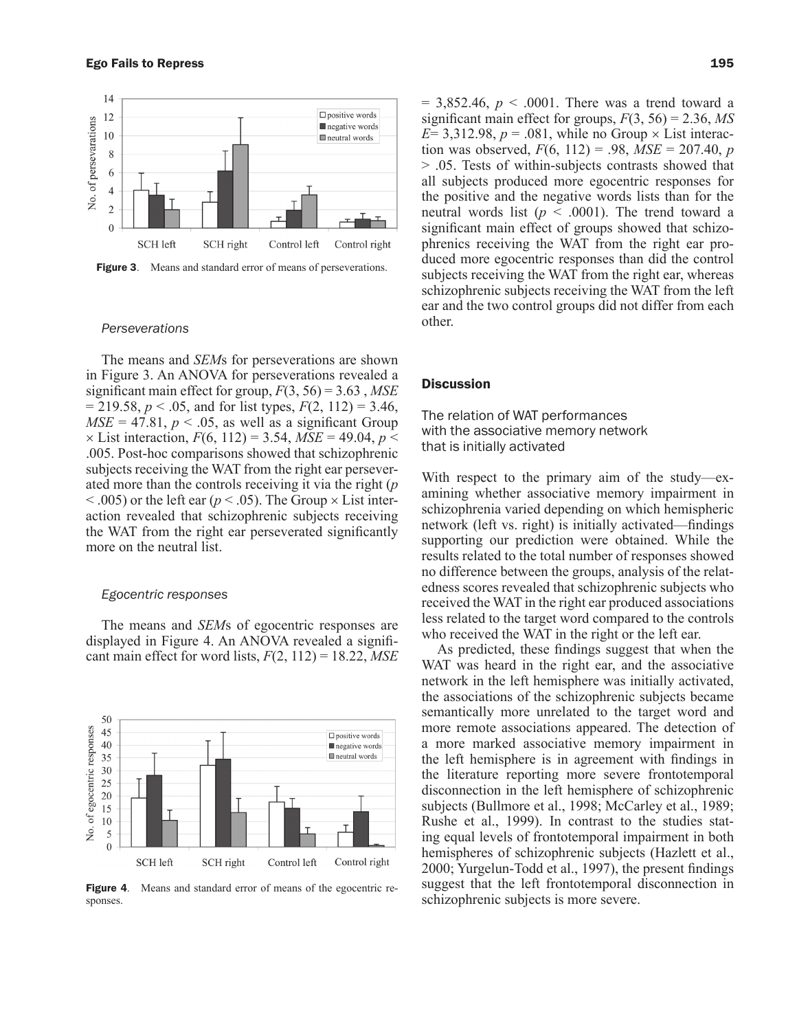

Figure 3. Means and standard error of means of perseverations.

#### *Perseverations*

The means and *SEM*s for perseverations are shown in Figure 3. An ANOVA for perseverations revealed a significant main effect for group, *F*(3, 56) = 3.63 , *MSE*   $= 219.58, p < .05$ , and for list types,  $F(2, 112) = 3.46$ ,  $MSE = 47.81$ ,  $p < .05$ , as well as a significant Group  $\times$  List interaction,  $F(6, 112) = 3.54$ ,  $MSE = 49.04$ ,  $p \le$ .005. Post-hoc comparisons showed that schizophrenic subjects receiving the WAT from the right ear perseverated more than the controls receiving it via the right (*p*  $<$  0.005) or the left ear ( $p$  < 0.05). The Group  $\times$  List interaction revealed that schizophrenic subjects receiving the WAT from the right ear perseverated significantly more on the neutral list.

#### *Egocentric responses*

The means and *SEM*s of egocentric responses are displayed in Figure 4. An ANOVA revealed a significant main effect for word lists, *F*(2, 112) = 18.22, *MSE* 



Figure 4. Means and standard error of means of the egocentric responses.

 $= 3,852.46, p \le 0.0001$ . There was a trend toward a significant main effect for groups,  $F(3, 56) = 2.36$ , *MS*  $E= 3,312.98, p = .081$ , while no Group  $\times$  List interaction was observed,  $F(6, 112) = .98$ ,  $MSE = 207.40$ , *p* > .05. Tests of within-subjects contrasts showed that all subjects produced more egocentric responses for the positive and the negative words lists than for the neutral words list ( $p \le 0.0001$ ). The trend toward a significant main effect of groups showed that schizophrenics receiving the WAT from the right ear produced more egocentric responses than did the control subjects receiving the WAT from the right ear, whereas schizophrenic subjects receiving the WAT from the left ear and the two control groups did not differ from each other.

### **Discussion**

The relation of WAT performances with the associative memory network that is initially activated

With respect to the primary aim of the study—examining whether associative memory impairment in schizophrenia varied depending on which hemispheric network (left vs. right) is initially activated—findings supporting our prediction were obtained. While the results related to the total number of responses showed no difference between the groups, analysis of the relatedness scores revealed that schizophrenic subjects who received the WAT in the right ear produced associations less related to the target word compared to the controls who received the WAT in the right or the left ear.

As predicted, these findings suggest that when the WAT was heard in the right ear, and the associative network in the left hemisphere was initially activated, the associations of the schizophrenic subjects became semantically more unrelated to the target word and more remote associations appeared. The detection of a more marked associative memory impairment in the left hemisphere is in agreement with findings in the literature reporting more severe frontotemporal disconnection in the left hemisphere of schizophrenic subjects (Bullmore et al., 1998; McCarley et al., 1989; Rushe et al., 1999). In contrast to the studies stating equal levels of frontotemporal impairment in both hemispheres of schizophrenic subjects (Hazlett et al., 2000; Yurgelun-Todd et al., 1997), the present findings suggest that the left frontotemporal disconnection in schizophrenic subjects is more severe.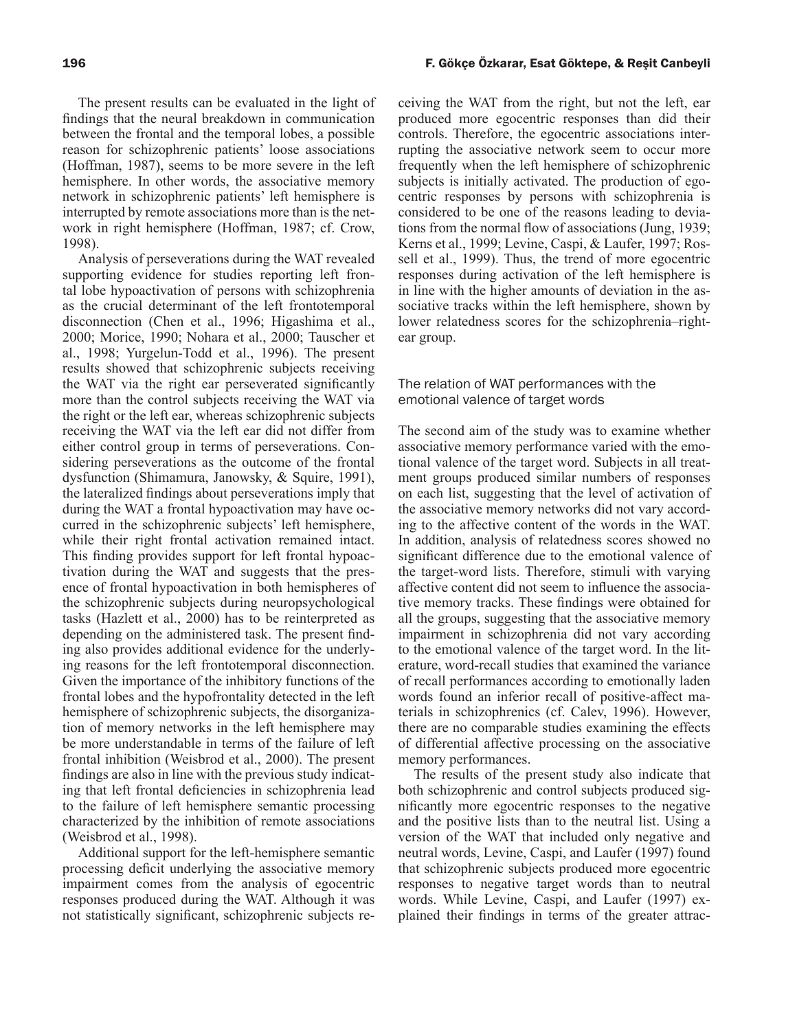The present results can be evaluated in the light of findings that the neural breakdown in communication between the frontal and the temporal lobes, a possible reason for schizophrenic patients' loose associations (Hoffman, 1987), seems to be more severe in the left hemisphere. In other words, the associative memory network in schizophrenic patients' left hemisphere is interrupted by remote associations more than is the network in right hemisphere (Hoffman, 1987; cf. Crow, 1998).

Analysis of perseverations during the WAT revealed supporting evidence for studies reporting left frontal lobe hypoactivation of persons with schizophrenia as the crucial determinant of the left frontotemporal disconnection (Chen et al., 1996; Higashima et al., 2000; Morice, 1990; Nohara et al., 2000; Tauscher et al., 1998; Yurgelun-Todd et al., 1996). The present results showed that schizophrenic subjects receiving the WAT via the right ear perseverated significantly more than the control subjects receiving the WAT via the right or the left ear, whereas schizophrenic subjects receiving the WAT via the left ear did not differ from either control group in terms of perseverations. Considering perseverations as the outcome of the frontal dysfunction (Shimamura, Janowsky, & Squire, 1991), the lateralized findings about perseverations imply that during the WAT a frontal hypoactivation may have occurred in the schizophrenic subjects' left hemisphere, while their right frontal activation remained intact. This finding provides support for left frontal hypoactivation during the WAT and suggests that the presence of frontal hypoactivation in both hemispheres of the schizophrenic subjects during neuropsychological tasks (Hazlett et al., 2000) has to be reinterpreted as depending on the administered task. The present finding also provides additional evidence for the underlying reasons for the left frontotemporal disconnection. Given the importance of the inhibitory functions of the frontal lobes and the hypofrontality detected in the left hemisphere of schizophrenic subjects, the disorganization of memory networks in the left hemisphere may be more understandable in terms of the failure of left frontal inhibition (Weisbrod et al., 2000). The present findings are also in line with the previous study indicating that left frontal deficiencies in schizophrenia lead to the failure of left hemisphere semantic processing characterized by the inhibition of remote associations (Weisbrod et al., 1998).

Additional support for the left-hemisphere semantic processing deficit underlying the associative memory impairment comes from the analysis of egocentric responses produced during the WAT. Although it was not statistically significant, schizophrenic subjects re-

ceiving the WAT from the right, but not the left, ear produced more egocentric responses than did their controls. Therefore, the egocentric associations interrupting the associative network seem to occur more frequently when the left hemisphere of schizophrenic subjects is initially activated. The production of egocentric responses by persons with schizophrenia is considered to be one of the reasons leading to deviations from the normal flow of associations (Jung, 1939; Kerns et al., 1999; Levine, Caspi, & Laufer, 1997; Rossell et al., 1999). Thus, the trend of more egocentric responses during activation of the left hemisphere is in line with the higher amounts of deviation in the associative tracks within the left hemisphere, shown by lower relatedness scores for the schizophrenia–rightear group.

# The relation of WAT performances with the emotional valence of target words

The second aim of the study was to examine whether associative memory performance varied with the emotional valence of the target word. Subjects in all treatment groups produced similar numbers of responses on each list, suggesting that the level of activation of the associative memory networks did not vary according to the affective content of the words in the WAT. In addition, analysis of relatedness scores showed no significant difference due to the emotional valence of the target-word lists. Therefore, stimuli with varying affective content did not seem to influence the associative memory tracks. These findings were obtained for all the groups, suggesting that the associative memory impairment in schizophrenia did not vary according to the emotional valence of the target word. In the literature, word-recall studies that examined the variance of recall performances according to emotionally laden words found an inferior recall of positive-affect materials in schizophrenics (cf. Calev, 1996). However, there are no comparable studies examining the effects of differential affective processing on the associative memory performances.

The results of the present study also indicate that both schizophrenic and control subjects produced significantly more egocentric responses to the negative and the positive lists than to the neutral list. Using a version of the WAT that included only negative and neutral words, Levine, Caspi, and Laufer (1997) found that schizophrenic subjects produced more egocentric responses to negative target words than to neutral words. While Levine, Caspi, and Laufer (1997) explained their findings in terms of the greater attrac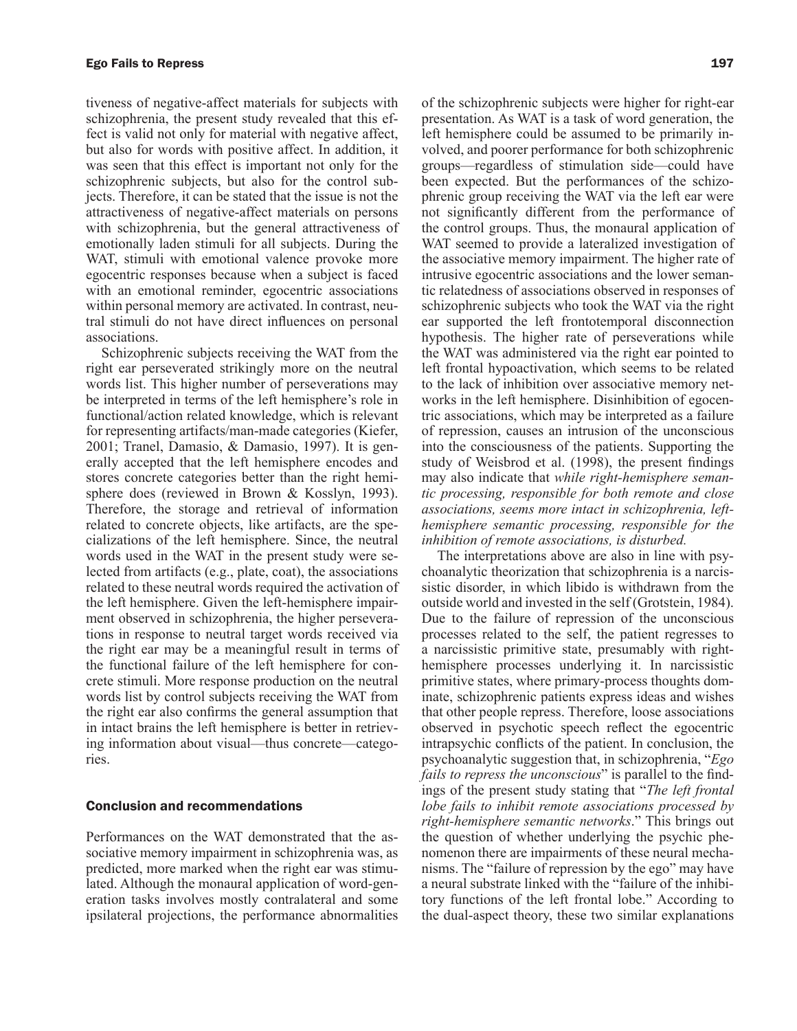tiveness of negative-affect materials for subjects with schizophrenia, the present study revealed that this effect is valid not only for material with negative affect, but also for words with positive affect. In addition, it was seen that this effect is important not only for the schizophrenic subjects, but also for the control subjects. Therefore, it can be stated that the issue is not the attractiveness of negative-affect materials on persons with schizophrenia, but the general attractiveness of emotionally laden stimuli for all subjects. During the WAT, stimuli with emotional valence provoke more egocentric responses because when a subject is faced with an emotional reminder, egocentric associations within personal memory are activated. In contrast, neutral stimuli do not have direct influences on personal associations.

Schizophrenic subjects receiving the WAT from the right ear perseverated strikingly more on the neutral words list. This higher number of perseverations may be interpreted in terms of the left hemisphere's role in functional/action related knowledge, which is relevant for representing artifacts/man-made categories (Kiefer, 2001; Tranel, Damasio, & Damasio, 1997). It is generally accepted that the left hemisphere encodes and stores concrete categories better than the right hemisphere does (reviewed in Brown & Kosslyn, 1993). Therefore, the storage and retrieval of information related to concrete objects, like artifacts, are the specializations of the left hemisphere. Since, the neutral words used in the WAT in the present study were selected from artifacts (e.g., plate, coat), the associations related to these neutral words required the activation of the left hemisphere. Given the left-hemisphere impairment observed in schizophrenia, the higher perseverations in response to neutral target words received via the right ear may be a meaningful result in terms of the functional failure of the left hemisphere for concrete stimuli. More response production on the neutral words list by control subjects receiving the WAT from the right ear also confirms the general assumption that in intact brains the left hemisphere is better in retrieving information about visual—thus concrete—categories.

# Conclusion and recommendations

Performances on the WAT demonstrated that the associative memory impairment in schizophrenia was, as predicted, more marked when the right ear was stimulated. Although the monaural application of word-generation tasks involves mostly contralateral and some ipsilateral projections, the performance abnormalities

of the schizophrenic subjects were higher for right-ear presentation. As WAT is a task of word generation, the left hemisphere could be assumed to be primarily involved, and poorer performance for both schizophrenic groups—regardless of stimulation side—could have been expected. But the performances of the schizophrenic group receiving the WAT via the left ear were not significantly different from the performance of the control groups. Thus, the monaural application of WAT seemed to provide a lateralized investigation of the associative memory impairment. The higher rate of intrusive egocentric associations and the lower semantic relatedness of associations observed in responses of schizophrenic subjects who took the WAT via the right ear supported the left frontotemporal disconnection hypothesis. The higher rate of perseverations while the WAT was administered via the right ear pointed to left frontal hypoactivation, which seems to be related to the lack of inhibition over associative memory networks in the left hemisphere. Disinhibition of egocentric associations, which may be interpreted as a failure of repression, causes an intrusion of the unconscious into the consciousness of the patients. Supporting the study of Weisbrod et al. (1998), the present findings may also indicate that *while right-hemisphere semantic processing, responsible for both remote and close associations, seems more intact in schizophrenia, lefthemisphere semantic processing, responsible for the inhibition of remote associations, is disturbed.*

The interpretations above are also in line with psychoanalytic theorization that schizophrenia is a narcissistic disorder, in which libido is withdrawn from the outside world and invested in the self (Grotstein, 1984). Due to the failure of repression of the unconscious processes related to the self, the patient regresses to a narcissistic primitive state, presumably with righthemisphere processes underlying it. In narcissistic primitive states, where primary-process thoughts dominate, schizophrenic patients express ideas and wishes that other people repress. Therefore, loose associations observed in psychotic speech reflect the egocentric intrapsychic conflicts of the patient. In conclusion, the psychoanalytic suggestion that, in schizophrenia, "*Ego fails to repress the unconscious*" is parallel to the findings of the present study stating that "*The left frontal lobe fails to inhibit remote associations processed by right-hemisphere semantic networks*." This brings out the question of whether underlying the psychic phenomenon there are impairments of these neural mechanisms. The "failure of repression by the ego" may have a neural substrate linked with the "failure of the inhibitory functions of the left frontal lobe." According to the dual-aspect theory, these two similar explanations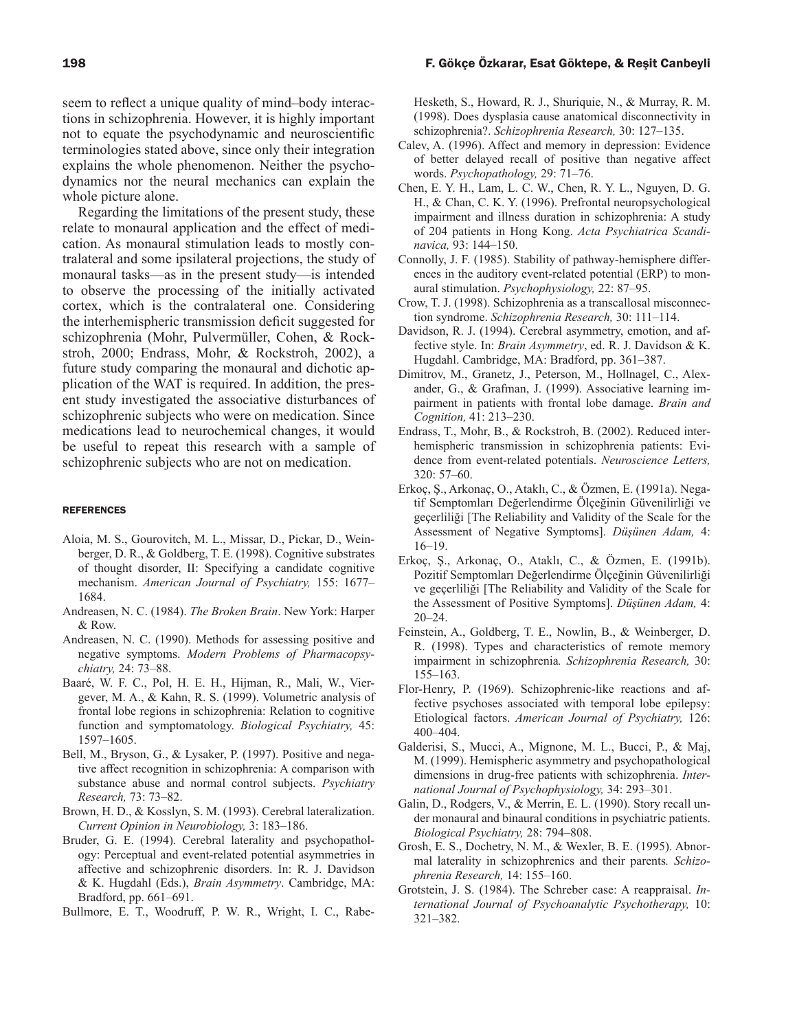seem to reflect a unique quality of mind–body interactions in schizophrenia. However, it is highly important not to equate the psychodynamic and neuroscientific terminologies stated above, since only their integration explains the whole phenomenon. Neither the psychodynamics nor the neural mechanics can explain the whole picture alone.

Regarding the limitations of the present study, these relate to monaural application and the effect of medication. As monaural stimulation leads to mostly contralateral and some ipsilateral projections, the study of monaural tasks—as in the present study—is intended to observe the processing of the initially activated cortex, which is the contralateral one. Considering the interhemispheric transmission deficit suggested for schizophrenia (Mohr, Pulvermüller, Cohen, & Rockstroh, 2000; Endrass, Mohr, & Rockstroh, 2002), a future study comparing the monaural and dichotic application of the WAT is required. In addition, the present study investigated the associative disturbances of schizophrenic subjects who were on medication. Since medications lead to neurochemical changes, it would be useful to repeat this research with a sample of schizophrenic subjects who are not on medication.

#### **REFERENCES**

- Aloia, M. S., Gourovitch, M. L., Missar, D., Pickar, D., Weinberger, D. R., & Goldberg, T. E. (1998). Cognitive substrates of thought disorder, II: Specifying a candidate cognitive mechanism. *American Journal of Psychiatry,* 155: 1677– 1684.
- Andreasen, N. C. (1984). *The Broken Brain*. New York: Harper & Row.
- Andreasen, N. C. (1990). Methods for assessing positive and negative symptoms. *Modern Problems of Pharmacopsychiatry,* 24: 73–88.
- Baaré, W. F. C., Pol, H. E. H., Hijman, R., Mali, W., Viergever, M. A., & Kahn, R. S. (1999). Volumetric analysis of frontal lobe regions in schizophrenia: Relation to cognitive function and symptomatology. *Biological Psychiatry,* 45: 1597–1605.
- Bell, M., Bryson, G., & Lysaker, P. (1997). Positive and negative affect recognition in schizophrenia: A comparison with substance abuse and normal control subjects. *Psychiatry Research,* 73: 73–82.
- Brown, H. D., & Kosslyn, S. M. (1993). Cerebral lateralization. *Current Opinion in Neurobiology,* 3: 183–186.
- Bruder, G. E. (1994). Cerebral laterality and psychopathology: Perceptual and event-related potential asymmetries in affective and schizophrenic disorders. In: R. J. Davidson & K. Hugdahl (Eds.), *Brain Asymmetry*. Cambridge, MA: Bradford, pp. 661–691.
- Bullmore, E. T., Woodruff, P. W. R., Wright, I. C., Rabe-

Hesketh, S., Howard, R. J., Shuriquie, N., & Murray, R. M. (1998). Does dysplasia cause anatomical disconnectivity in schizophrenia?. *Schizophrenia Research,* 30: 127–135.

- Calev, A. (1996). Affect and memory in depression: Evidence of better delayed recall of positive than negative affect words. *Psychopathology,* 29: 71–76.
- Chen, E. Y. H., Lam, L. C. W., Chen, R. Y. L., Nguyen, D. G. H., & Chan, C. K. Y. (1996). Prefrontal neuropsychological impairment and illness duration in schizophrenia: A study of 204 patients in Hong Kong. *Acta Psychiatrica Scandinavica,* 93: 144–150.
- Connolly, J. F. (1985). Stability of pathway-hemisphere differences in the auditory event-related potential (ERP) to monaural stimulation. *Psychophysiology,* 22: 87–95.
- Crow, T. J. (1998). Schizophrenia as a transcallosal misconnection syndrome. *Schizophrenia Research,* 30: 111–114.
- Davidson, R. J. (1994). Cerebral asymmetry, emotion, and affective style. In: *Brain Asymmetry*, ed. R. J. Davidson & K. Hugdahl. Cambridge, MA: Bradford, pp. 361–387.
- Dimitrov, M., Granetz, J., Peterson, M., Hollnagel, C., Alexander, G., & Grafman, J. (1999). Associative learning impairment in patients with frontal lobe damage. *Brain and Cognition,* 41: 213–230.
- Endrass, T., Mohr, B., & Rockstroh, B. (2002). Reduced interhemispheric transmission in schizophrenia patients: Evidence from event-related potentials. *Neuroscience Letters,*  320: 57–60.
- Erkoç, Ş., Arkonaç, O., Ataklı, C., & Özmen, E. (1991a). Negatif Semptomları Değerlendirme Ölçeğinin Güvenilirliği ve geçerliliği [The Reliability and Validity of the Scale for the Assessment of Negative Symptoms]. *Düşünen Adam,* 4: 16–19.
- Erkoç, Ş., Arkonaç, O., Ataklı, C., & Özmen, E. (1991b). Pozitif Semptomları Değerlendirme Ölçeğinin Güvenilirliği ve geçerliliği [The Reliability and Validity of the Scale for the Assessment of Positive Symptoms]. *Düşünen Adam,* 4: 20–24.
- Feinstein, A., Goldberg, T. E., Nowlin, B., & Weinberger, D. R. (1998). Types and characteristics of remote memory impairment in schizophrenia*. Schizophrenia Research,* 30: 155–163.
- Flor-Henry, P. (1969). Schizophrenic-like reactions and affective psychoses associated with temporal lobe epilepsy: Etiological factors. *American Journal of Psychiatry,* 126: 400–404.
- Galderisi, S., Mucci, A., Mignone, M. L., Bucci, P., & Maj, M. (1999). Hemispheric asymmetry and psychopathological dimensions in drug-free patients with schizophrenia. *International Journal of Psychophysiology,* 34: 293–301.
- Galin, D., Rodgers, V., & Merrin, E. L. (1990). Story recall under monaural and binaural conditions in psychiatric patients. *Biological Psychiatry,* 28: 794–808.
- Grosh, E. S., Dochetry, N. M., & Wexler, B. E. (1995). Abnormal laterality in schizophrenics and their parents*. Schizophrenia Research,* 14: 155–160.
- Grotstein, J. S. (1984). The Schreber case: A reappraisal. *International Journal of Psychoanalytic Psychotherapy,* 10: 321–382.